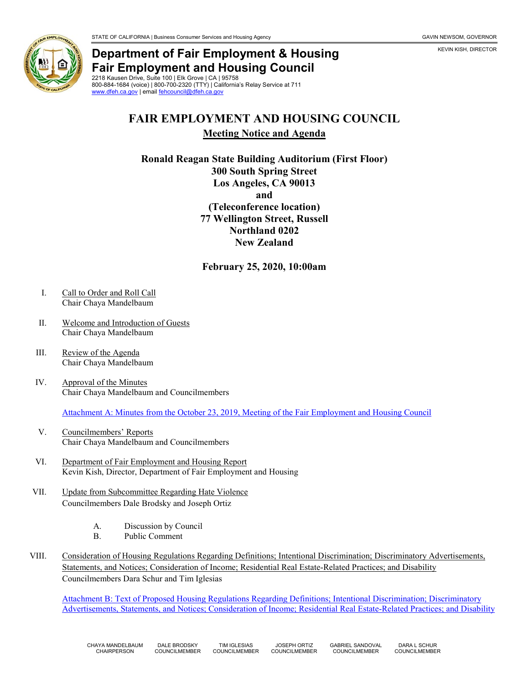KEVIN KISH, DIRECTOR



## **Department of Fair Employment & Housing Fair Employment and Housing Council** 2218 Kausen Drive, Suite 100 | Elk Grove | CA | 95758

800-884-1684 (voice) | 800-700-2320 (TTY) | California's Relay Service at 711 [www.dfeh.ca.gov](https://www.dfeh.ca.gov/) | email [fehcouncil@dfeh.ca.gov](mailto:fehcouncil@dfeh.ca.gov)

## **FAIR EMPLOYMENT AND HOUSING COUNCIL Meeting Notice and Agenda**

**Ronald Reagan State Building Auditorium (First Floor) 300 South Spring Street Los Angeles, CA 90013 and (Teleconference location) 77 Wellington Street, Russell Northland 0202 New Zealand**

**February 25, 2020, 10:00am**

- I. Call to Order and Roll Call Chair Chaya Mandelbaum
- II. Welcome and Introduction of Guests Chair Chaya Mandelbaum
- III. Review of the Agenda Chair Chaya Mandelbaum
- IV. Approval of the Minutes Chair Chaya Mandelbaum and Councilmembers

Attachment A: Minutes from the October [23, 2019, Meeting of the Fair Employment and Housing Council](https://www.dfeh.ca.gov/wp-content/uploads/sites/32/2020/02/AttachA-FEHCMinutes2019Oct-23.pdf)

- V. Councilmembers' Reports Chair Chaya Mandelbaum and Councilmembers
- VI. Department of Fair Employment and Housing Report Kevin Kish, Director, Department of Fair Employment and Housing
- VII. Update from Subcommittee Regarding Hate Violence Councilmembers Dale Brodsky and Joseph Ortiz
	- A. Discussion by Council
	- B. Public Comment
- VIII. Consideration of Housing Regulations Regarding Definitions; Intentional Discrimination; Discriminatory Advertisements, Statements, and Notices; Consideration of Income; Residential Real Estate-Related Practices; and Disability Councilmembers Dara Schur and Tim Iglesias

[Attachment B: Text of Proposed Housing Regulations Regarding Definitions; Intentional Discrimination; Discriminatory](https://www.dfeh.ca.gov/wp-content/uploads/sites/32/2020/02/Attachment-B-Housing-Regulations-Regarding-Definitions-Intentional-Discrimination-Advertisements-Income-Residential-Real-Estate-Related-Practices-and-Disability.pdf)  [Advertisements, Statements, and Notices; Consideration of Income; Residential Real Estate-Related Practices; and Disability](https://www.dfeh.ca.gov/wp-content/uploads/sites/32/2020/02/Attachment-B-Housing-Regulations-Regarding-Definitions-Intentional-Discrimination-Advertisements-Income-Residential-Real-Estate-Related-Practices-and-Disability.pdf)